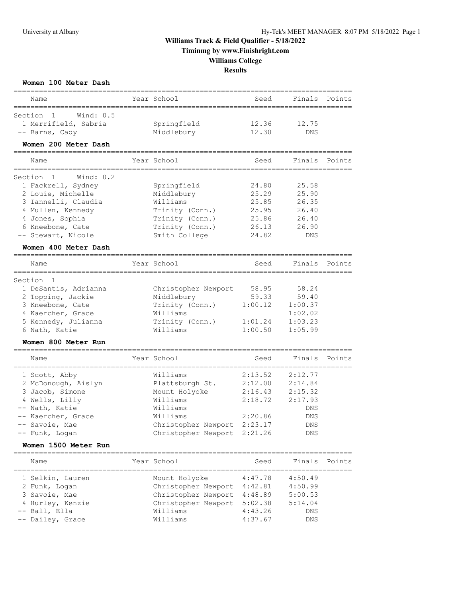## **Williams Track & Field Qualifier - 5/18/2022 Timinmg by www.Finishright.com Williams College**

**Results**

| Women 100 Meter Dash<br>======================== |                                                       |         |         |        |
|--------------------------------------------------|-------------------------------------------------------|---------|---------|--------|
| Name                                             | Year School                                           | Seed    | Finals  | Points |
| Section 1<br>Wind: $0.5$                         |                                                       |         |         |        |
| 1 Merrifield, Sabria                             | Springfield                                           | 12.36   | 12.75   |        |
| -- Barns, Cady                                   | Middlebury                                            | 12.30   | DNS     |        |
| Women 200 Meter Dash                             |                                                       |         |         |        |
| Name<br>==========                               | Year School                                           | Seed    | Finals  | Points |
| Wind: $0.2$<br>Section<br>$\mathbf{1}$           |                                                       |         |         |        |
| 1 Fackrell, Sydney                               | Springfield                                           | 24.80   | 25.58   |        |
| 2 Louie, Michelle                                | Middlebury                                            | 25.29   | 25.90   |        |
| 3 Iannelli, Claudia                              | Williams                                              | 25.85   | 26.35   |        |
| 4 Mullen, Kennedy                                | Trinity (Conn.)                                       | 25.95   | 26.40   |        |
| 4 Jones, Sophia                                  | Trinity (Conn.)                                       | 25.86   | 26.40   |        |
| 6 Kneebone, Cate                                 | Trinity (Conn.)                                       | 26.13   | 26.90   |        |
| -- Stewart, Nicole                               | Smith College                                         | 24.82   | DNS     |        |
| Women 400 Meter Dash                             |                                                       |         |         |        |
| Name<br>==========================               | Year School<br>-------------------------------------- | Seed    | Finals  | Points |
| Section<br>1                                     |                                                       |         |         |        |
| 1 DeSantis, Adrianna                             | Christopher Newport                                   | 58.95   | 58.24   |        |
| 2 Topping, Jackie                                | Middlebury                                            | 59.33   | 59.40   |        |
| 3 Kneebone, Cate                                 | Trinity (Conn.)                                       | 1:00.12 | 1:00.37 |        |
| 4 Kaercher, Grace                                | Williams                                              |         | 1:02.02 |        |
| 5 Kennedy, Julianna                              | Trinity (Conn.)                                       | 1:01.24 | 1:03.23 |        |
| 6 Nath, Katie                                    | Williams                                              | 1:00.50 | 1:05.99 |        |
| Women 800 Meter Run                              |                                                       |         |         |        |
| Name                                             | Year School                                           | Seed    | Finals  | Points |
| 1 Scott, Abby                                    | Williams                                              | 2:13.52 | 2:12.77 |        |
| 2 McDonough, Aislyn                              | Plattsburgh St.                                       | 2:12.00 | 2:14.84 |        |
| 3 Jacob, Simone                                  | Mount Holyoke                                         | 2:16.43 | 2:15.32 |        |
| 4 Wells, Lilly                                   | Williams                                              | 2:18.72 | 2:17.93 |        |
| -- Nath, Katie                                   | Williams                                              |         | DNS     |        |
| -- Kaercher, Grace                               | Williams                                              | 2:20.86 | DNS     |        |
| -- Savoie, Mae                                   | Christopher Newport 2:23.17                           |         | DNS     |        |
| -- Funk, Logan                                   | Christopher Newport 2:21.26                           |         | DNS     |        |
| Women 1500 Meter Run                             |                                                       |         |         |        |
| Name                                             | Year School                                           | Seed    | Finals  | Points |
| 1 Selkin, Lauren                                 | Mount Holyoke                                         | 4:47.78 | 4:50.49 |        |
| 2 Funk, Logan                                    | Christopher Newport 4:42.81                           |         | 4:50.99 |        |
| 3 Savoie, Mae                                    | Christopher Newport 4:48.89                           |         | 5:00.53 |        |
| 4 Hurley, Kenzie                                 | Christopher Newport                                   | 5:02.38 | 5:14.04 |        |
| -- Ball, Ella                                    | Williams                                              | 4:43.26 | DNS     |        |
| -- Dailey, Grace                                 | Williams                                              | 4:37.67 | DNS     |        |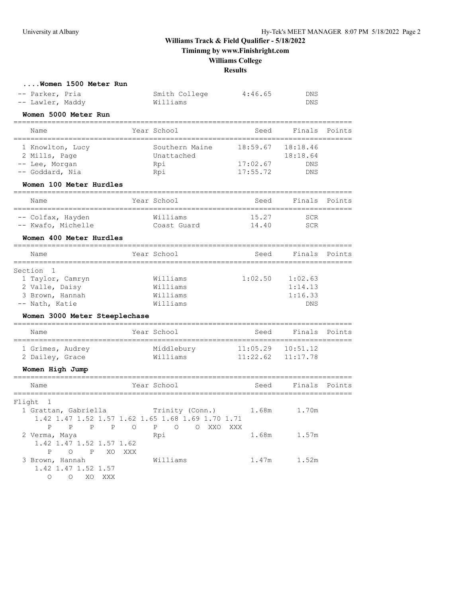**Timinmg by www.Finishright.com**

## **Williams College**

**Results**

|  | Women 1500 Meter Run |  |
|--|----------------------|--|
|  |                      |  |

| -- Parker, Pria  | Smith College | 4:46.65 | DNS |
|------------------|---------------|---------|-----|
| -- Lawler, Maddy | Williams      |         | DNS |

#### **Women 5000 Meter Run**

| Name                              | Year School                  | Seed     | Finals               | Points |
|-----------------------------------|------------------------------|----------|----------------------|--------|
| 1 Knowlton, Lucy<br>2 Mills, Page | Southern Maine<br>Unattached | 18:59.67 | 18:18.46<br>18:18.64 |        |
| -- Lee, Morgan                    | Rpi                          | 17:02.67 | <b>DNS</b>           |        |
| -- Goddard, Nia                   | Rpi                          | 17:55.72 | <b>DNS</b>           |        |

#### **Women 100 Meter Hurdles**

| Name               | Year School | Seed  | Finals Points |
|--------------------|-------------|-------|---------------|
| -- Colfax, Hayden  | Williams    | 15.27 | SCR           |
| -- Kwafo, Michelle | Coast Guard | 14.40 | SCR           |

#### **Women 400 Meter Hurdles**

| Name             | Year School | Seed    | Finals Points |  |
|------------------|-------------|---------|---------------|--|
| Section 1        |             |         |               |  |
|                  |             |         |               |  |
| 1 Taylor, Camryn | Williams    | 1:02.50 | 1:02.63       |  |
| 2 Valle, Daisy   | Williams    |         | 1:14.13       |  |
| 3 Brown, Hannah  | Williams    |         | 1:16.33       |  |
| -- Nath, Katie   | Williams    |         | <b>DNS</b>    |  |

### **Women 3000 Meter Steeplechase**

| Name                                |  | Year School            | Seed                                           | Finals Points |  |
|-------------------------------------|--|------------------------|------------------------------------------------|---------------|--|
| 1 Grimes, Audrey<br>2 Dailey, Grace |  | Middlebury<br>Williams | $11:05.29$ $10:51.12$<br>$11:22.62$ $11:17.78$ |               |  |

================================================================================

### **Women High Jump**

| Name                            | Year School                                                       | Seed  | Finals Points |
|---------------------------------|-------------------------------------------------------------------|-------|---------------|
| Flight 1                        |                                                                   |       |               |
| 1 Grattan, Gabriella            | Trinity (Conn.)                                                   | 1.68m | 1.70m         |
|                                 | 1.42 1.47 1.52 1.57 1.62 1.65 1.68 1.69 1.70 1.71                 |       |               |
| P<br>P<br>$\mathbb{P}$          | P<br>$\circ$<br>$\mathbf{P}$<br>XXO<br>$\circ$<br>XXX<br>$\Omega$ |       |               |
| 2 Verma, Maya                   | Rpi                                                               | 1.68m | 1.57m         |
| 1.42 1.47 1.52 1.57 1.62        |                                                                   |       |               |
| P<br>$\mathsf{P}$<br>$\bigcirc$ | XO.<br>XXX                                                        |       |               |
| 3 Brown, Hannah                 | Williams                                                          | 1.47m | 1.52m         |
| 1.42 1.47 1.52 1.57             |                                                                   |       |               |
| $\Omega$<br>XO<br>∩             | XXX                                                               |       |               |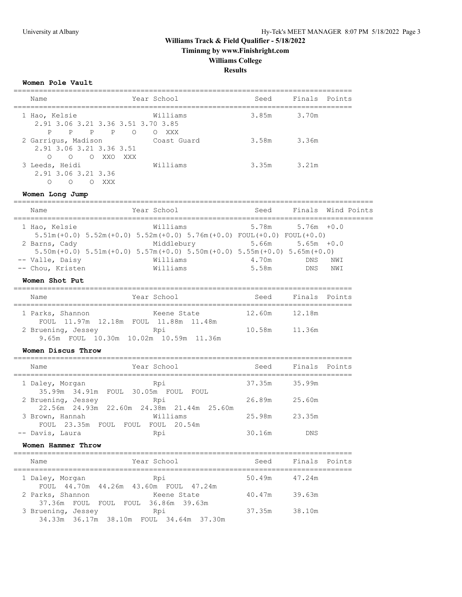**Timinmg by www.Finishright.com**

## **Williams College**

**Results**

### **Women Pole Vault**

| Name                                                                       | Year School                                     | Seed  | Finals Points |
|----------------------------------------------------------------------------|-------------------------------------------------|-------|---------------|
| 1 Hao, Kelsie<br>2.91 3.06 3.21 3.36 3.51 3.70 3.85                        | Williams                                        | 3.85m | 3.70m         |
| P<br>P P<br>$\mathbf P$<br>2 Garriqus, Madison<br>2.91 3.06 3.21 3.36 3.51 | $\overline{O}$<br>XXX<br>$\circ$<br>Coast Guard | 3.58m | 3.36m         |
| O O XXO<br>$\Omega$<br>3 Leeds, Heidi<br>2.91 3.06 3.21 3.36               | XXX<br>Williams                                 | 3.35m | 3.21m         |
| $\bigcirc$<br>∩<br>XXX                                                     |                                                 |       |               |

### **Women Long Jump**

| Name                                                                  | Year School                                    |                                                                                                                                                                                            | Seed                                     | Finals Wind Points                     |            |  |
|-----------------------------------------------------------------------|------------------------------------------------|--------------------------------------------------------------------------------------------------------------------------------------------------------------------------------------------|------------------------------------------|----------------------------------------|------------|--|
| 1 Hao, Kelsie<br>2 Barns, Cady<br>-- Valle, Daisy<br>-- Chou, Kristen | Williams<br>Middlebury<br>Williams<br>Williams | $5.51m (+0.0)$ $5.52m (+0.0)$ $5.52m (+0.0)$ $5.76m (+0.0)$ $FOUL (+0.0)$ $FOUL (+0.0)$<br>$5.50$ m (+0.0) $5.51$ m (+0.0) $5.57$ m (+0.0) $5.50$ m (+0.0) $5.55$ m (+0.0) $5.65$ m (+0.0) | $5.66m$ $5.65m$ $+0.0$<br>4.70m<br>5.58m | $5.78m$ $5.76m$ $+0.0$<br>DNS.<br>DNS. | NWI<br>NWI |  |
| Women Shot Put                                                        |                                                |                                                                                                                                                                                            |                                          |                                        |            |  |
| Name                                                                  | Year School                                    |                                                                                                                                                                                            | Seed                                     | Finals Points                          |            |  |
|                                                                       |                                                |                                                                                                                                                                                            |                                          |                                        |            |  |

| 1 Parks, Shannon                                                                                                                                                                                                               | Keene State                            | 12.60m | 12.18m |
|--------------------------------------------------------------------------------------------------------------------------------------------------------------------------------------------------------------------------------|----------------------------------------|--------|--------|
|                                                                                                                                                                                                                                | FOUL 11.97m 12.18m FOUL 11.88m 11.48m  |        |        |
| 2 Bruening, Jessey (Regional Regional Regional Regional Regional Regional Regional Regional Regional Regional Regional Regional Regional Regional Regional Regional Regional Regional Regional Regional Regional Regional Regi |                                        | 10.58m | 11.36m |
|                                                                                                                                                                                                                                | 9.65m FOUL 10.30m 10.02m 10.59m 11.36m |        |        |

### **Women Discus Throw**

| Name | Year School                                                            | Seed   | Finals Points |  |
|------|------------------------------------------------------------------------|--------|---------------|--|
|      | Rpi<br>1 Daley, Morgan<br>35.99m 34.91m FOUL 30.05m FOUL FOUL          | 37.35m | 35.99m        |  |
|      | 2 Bruening, Jessey<br>Rpi<br>22.56m 24.93m 22.60m 24.38m 21.44m 25.60m | 26.89m | 25.60m        |  |
|      | Williams<br>3 Brown, Hannah<br>FOUL 23.35m FOUL<br>FOUL FOUL 20.54m    | 25.98m | 23.35m        |  |
|      | -- Davis, Laura<br>Rpi                                                 | 30.16m | <b>DNS</b>    |  |

#### **Women Hammer Throw**

| Year School<br>Name                                                    | Seed   | Finals Points |  |
|------------------------------------------------------------------------|--------|---------------|--|
| Rpi<br>1 Daley, Morgan<br>FOUL 44.70m 44.26m 43.60m FOUL 47.24m        | 50.49m | 47.24m        |  |
| 2 Parks, Shannon<br>Keene State<br>37.36m FOUL FOUL FOUL 36.86m 39.63m | 40.47m | 39.63m        |  |
| 3 Bruening, Jessey<br>Rpi<br>34.33m 36.17m 38.10m FOUL 34.64m 37.30m   | 37.35m | 38.10m        |  |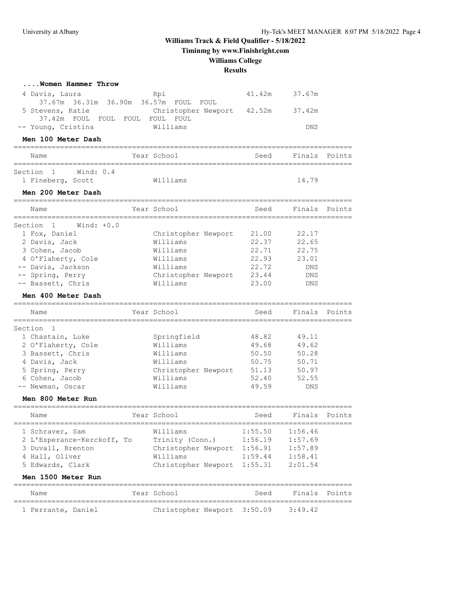**Timinmg by www.Finishright.com**

## **Williams College**

### **Results**

| Women Hammer Throw                                                                 |                                     |                |                |               |
|------------------------------------------------------------------------------------|-------------------------------------|----------------|----------------|---------------|
| 4 Davis, Laura                                                                     | Rpi                                 | 41.42m         | 37.67m         |               |
| 37.67m 36.31m 36.90m 36.57m<br>5 Stevens, Katie<br>37.42m FOUL FOUL FOUL FOUL FOUL | FOUL<br>FOUL<br>Christopher Newport | 42.52m         | 37.42m         |               |
| -- Young, Cristina                                                                 | Williams                            |                | DNS            |               |
| Men 100 Meter Dash                                                                 | ==============================      |                |                |               |
| Name                                                                               | Year School                         | Seed           | Finals         | Points        |
| Section 1<br>Wind: $0.4$<br>1 Fineberg, Scott                                      | Williams                            |                | 14.79          |               |
| Men 200 Meter Dash                                                                 |                                     |                |                |               |
| Name                                                                               | Year School                         | Seed           |                | Finals Points |
| Section<br>Wind: $+0.0$<br>$\mathbf{1}$                                            |                                     |                |                |               |
| 1 Fox, Daniel                                                                      | Christopher Newport                 | 21.00          | 22.17          |               |
| 2 Davis, Jack                                                                      | Williams                            | 22.37          | 22.65          |               |
| 3 Cohen, Jacob                                                                     | Williams                            | 22.71          | 22.75          |               |
| 4 O'Flaherty, Cole                                                                 | Williams                            | 22.93          | 23.01          |               |
| -- Davis, Jackson                                                                  | Williams                            | 22.72          | DNS            |               |
| -- Spring, Perry                                                                   | Christopher Newport                 | 23.44          | DNS            |               |
| -- Bassett, Chris                                                                  | Williams                            | 23.00          | DNS            |               |
| Men 400 Meter Dash                                                                 |                                     |                |                |               |
| Name                                                                               | Year School                         | Seed           | Finals         | Points        |
|                                                                                    |                                     |                |                |               |
| Section<br>-1                                                                      |                                     |                |                |               |
| 1 Chastain, Luke                                                                   | Springfield<br>Williams             | 48.82          | 49.11          |               |
| 2 O'Flaherty, Cole                                                                 | Williams                            | 49.68          | 49.62          |               |
| 3 Bassett, Chris                                                                   | Williams                            | 50.50<br>50.75 | 50.28          |               |
| 4 Davis, Jack                                                                      |                                     |                | 50.71          |               |
| 5 Spring, Perry                                                                    | Christopher Newport<br>Williams     | 51.13<br>52.40 | 50.97<br>52.55 |               |
| 6 Cohen, Jacob<br>-- Newman, Oscar                                                 | Williams                            | 49.59          | DNS            |               |
|                                                                                    |                                     |                |                |               |
| Men 800 Meter Run                                                                  |                                     |                |                |               |
| Name                                                                               | Year School                         | Seed           | Finals         | Points        |
| 1 Schraver, Sam                                                                    | Williams                            | 1:55.50        | 1:56.46        |               |
| 2 L'Esperance-Kerckoff, To                                                         | Trinity (Conn.)                     | 1:56.19        | 1:57.69        |               |
| 3 Duvall, Brenton                                                                  | Christopher Newport 1:56.91         |                | 1:57.89        |               |
| 4 Hall, Oliver                                                                     | Williams                            | 1:59.44        | 1:58.41        |               |
| 5 Edwards, Clark                                                                   | Christopher Newport                 | 1:55.31        | 2:01.54        |               |
| <b>Men 1500 Meter Run</b>                                                          |                                     |                |                |               |
|                                                                                    |                                     |                |                |               |
| Name                                                                               | Year School                         | Seed           | Finals         | Points        |
| 1 Ferrante, Daniel                                                                 | Christopher Newport 3:50.09         |                | 3:49.42        |               |
|                                                                                    |                                     |                |                |               |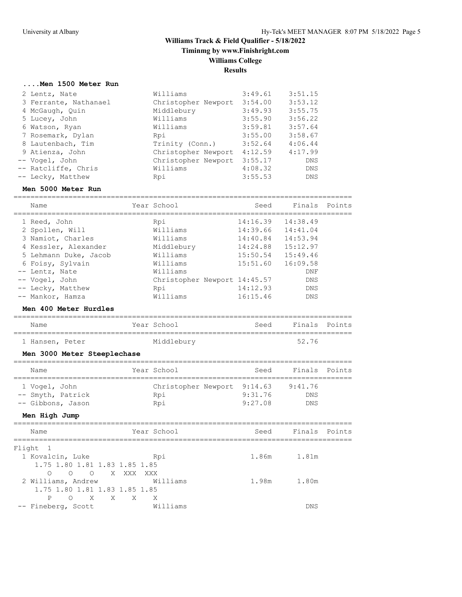## **Williams Track & Field Qualifier - 5/18/2022 Timinmg by www.Finishright.com Williams College Results**

### **....Men 1500 Meter Run**

| 2 Lentz, Nate         | Williams                    | 3:49.61 | 3:51.15    |
|-----------------------|-----------------------------|---------|------------|
| 3 Ferrante, Nathanael | Christopher Newport 3:54.00 |         | 3:53.12    |
| 4 McGaugh, Quin       | Middlebury                  | 3:49.93 | 3:55.75    |
| 5 Lucey, John         | Williams                    | 3:55.90 | 3:56.22    |
| 6 Watson, Ryan        | Williams                    | 3:59.81 | 3:57.64    |
| 7 Rosemark, Dylan     | Rpi                         | 3:55.00 | 3:58.67    |
| 8 Lautenbach, Tim     | Trinity (Conn.)             | 3:52.64 | 4:06.44    |
| 9 Atienza, John       | Christopher Newport         | 4:12.59 | 4:17.99    |
| -- Vogel, John        | Christopher Newport         | 3:55.17 | <b>DNS</b> |
| -- Ratcliffe, Chris   | Williams                    | 4:08.32 | DNS        |
| -- Lecky, Matthew     | Rpi                         | 3:55.53 | <b>DNS</b> |

### **Men 5000 Meter Run**

| Name                  | Year School                  | Seed                  | Finals Points |  |
|-----------------------|------------------------------|-----------------------|---------------|--|
| 1 Reed, John          | Rpi                          | $14:16.39$ $14:38.49$ |               |  |
| 2 Spollen, Will       | Williams                     | $14:39.66$ $14:41.04$ |               |  |
| 3 Namiot, Charles     | Williams                     | 14:40.84              | 14:53.94      |  |
| 4 Kessler, Alexander  | Middlebury                   | 14:24.88              | 15:12.97      |  |
| 5 Lehmann Duke, Jacob | Williams                     | 15:50.54              | 15:49.46      |  |
| 6 Foisy, Sylvain      | Williams                     | 15:51.60              | 16:09.58      |  |
| -- Lentz, Nate        | Williams                     |                       | DNF           |  |
| -- Vogel, John        | Christopher Newport 14:45.57 |                       | <b>DNS</b>    |  |
| -- Lecky, Matthew     | Rpi                          | 14:12.93              | <b>DNS</b>    |  |
| -- Mankor, Hamza      | Williams                     | 16:15.46              | <b>DNS</b>    |  |

#### **Men 400 Meter Hurdles**

| Name            |  | Year School | Seed | Finals Points |  |
|-----------------|--|-------------|------|---------------|--|
|                 |  |             |      |               |  |
| 1 Hansen, Peter |  | Middleburv  |      | 52.76         |  |

### **Men 3000 Meter Steeplechase**

| Name              | Year School | Seed                        |            | Finals Points |
|-------------------|-------------|-----------------------------|------------|---------------|
|                   |             |                             |            |               |
| 1 Vogel, John     |             | Christopher Newport 9:14.63 | 9:41.76    |               |
| -- Smyth, Patrick | Rpi         | 9:31.76                     | <b>DNS</b> |               |
| -- Gibbons, Jason | Rpi         | 9:27.08                     | DNS        |               |

### **Men High Jump**

| Name                          | Year School | Seed  | Finals Points |  |
|-------------------------------|-------------|-------|---------------|--|
| Flight 1                      |             |       |               |  |
| 1 Kovalcin, Luke              | Rpi         |       | 1.86m 1.81m   |  |
| 1.75 1.80 1.81 1.83 1.85 1.85 |             |       |               |  |
| $\bigcirc$<br>O O X XXX XXX   |             |       |               |  |
| 2 Williams, Andrew            | Williams    | 1.98m | 1.80m         |  |
| 1.75 1.80 1.81 1.83 1.85 1.85 |             |       |               |  |
| O X X X X<br>P                |             |       |               |  |
| -- Fineberg, Scott            | Williams    |       | <b>DNS</b>    |  |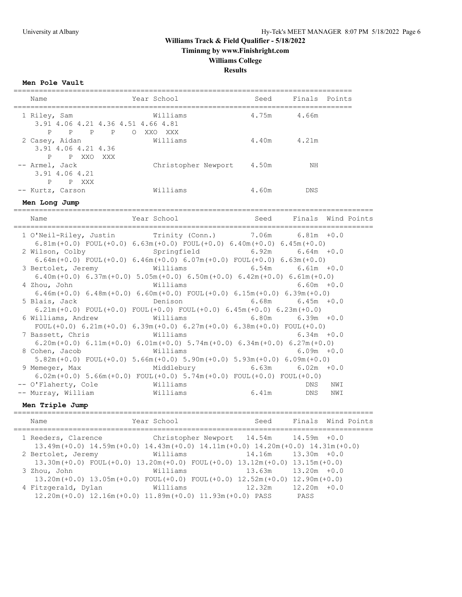**Timinmg by www.Finishright.com**

### **Williams College**

**Results**

**Men Pole Vault**

| Name                    |       |  | Year School                        | Seed  | Finals Points |  |
|-------------------------|-------|--|------------------------------------|-------|---------------|--|
| 1 Riley, Sam            |       |  | Williams                           | 4.75m | 4.66m         |  |
|                         |       |  | 3.91 4.06 4.21 4.36 4.51 4.66 4.81 |       |               |  |
| P P P P O               |       |  | XXO XXX                            |       |               |  |
| 2 Casey, Aidan          |       |  | Williams                           | 4.40m | 4.21m         |  |
| 3.91 4.06 4.21 4.36     |       |  |                                    |       |               |  |
| P P XXO XXX             |       |  |                                    |       |               |  |
| -- Armel, Jack          |       |  | Christopher Newport                | 4.50m | ΝH            |  |
| 3.91 4.06 4.21          |       |  |                                    |       |               |  |
| $P \qquad \qquad$<br>P. | XXX X |  |                                    |       |               |  |
| -- Kurtz, Carson        |       |  | Williams                           | 4.60m | <b>DNS</b>    |  |

**Men Long Jump**

===================================================================================== Seed Finals Wind Points ===================================================================================== 1 O'Neil-Riley, Justin Trinity (Conn.) 7.06m 6.81m +0.0 6.81m(+0.0) FOUL(+0.0) 6.63m(+0.0) FOUL(+0.0) 6.40m(+0.0) 6.45m(+0.0) 2 Wilson, Colby Springfield 6.92m 6.64m +0.0 6.64m(+0.0) FOUL(+0.0) 6.46m(+0.0) 6.07m(+0.0) FOUL(+0.0) 6.63m(+0.0) 3 Bertolet, Jeremy Williams 6.54m 6.61m +0.0 6.40m(+0.0) 6.37m(+0.0) 5.05m(+0.0) 6.50m(+0.0) 6.42m(+0.0) 6.61m(+0.0) 4 Zhou, John Williams 6.60m +0.0 6.46m(+0.0) 6.48m(+0.0) 6.60m(+0.0) FOUL(+0.0) 6.15m(+0.0) 6.39m(+0.0) 5 Blais, Jack Denison 6.68m 6.45m +0.0 6.21m(+0.0) FOUL(+0.0) FOUL(+0.0) FOUL(+0.0) 6.45m(+0.0) 6.23m(+0.0) 6 Williams, Andrew Williams 6.80m 6.39m +0.0 FOUL( $+0.0$ )  $6.21m(+0.0)$   $6.39m(+0.0)$   $6.27m(+0.0)$   $6.38m(+0.0)$  FOUL( $+0.0$ ) 7 Bassett, Chris Williams 6.34m +0.0 6.20m( $+0.0$ ) 6.11m( $+0.0$ ) 6.01m( $+0.0$ ) 5.74m( $+0.0$ ) 6.34m( $+0.0$ ) 6.27m( $+0.0$ ) 8 Cohen, Jacob Williams 6.09m +0.0 5.82m(+0.0) FOUL(+0.0) 5.66m(+0.0) 5.90m(+0.0) 5.93m(+0.0) 6.09m(+0.0) 9 Memeger, Max Middlebury 6.63m 6.02m +0.0

**Men Triple Jump**

| Name                | Year School                                                                                                                                       | Seed   |                                   | Finals Wind Points |
|---------------------|---------------------------------------------------------------------------------------------------------------------------------------------------|--------|-----------------------------------|--------------------|
| 1 Reeders, Clarence | Christopher Newport $14.54$ m $14.59$ m $+0.0$<br>$13.49m (+0.0)$ $14.59m (+0.0)$ $14.43m (+0.0)$ $14.11m (+0.0)$ $14.20m (+0.0)$ $14.31m (+0.0)$ |        |                                   |                    |
| 2 Bertolet, Jeremy  | Williams<br>$13.30m (+0.0)$ FOUL $(+0.0)$ $13.20m (+0.0)$ FOUL $(+0.0)$ $13.12m (+0.0)$ $13.15m (+0.0)$                                           | 14.16m | $13.30m + 0.0$                    |                    |
| 3 Zhou, John        | Williams<br>$13.20$ m $(+0.0)$ $13.05$ m $(+0.0)$ FOUL $(+0.0)$ FOUL $(+0.0)$ $12.52$ m $(+0.0)$                                                  | 13.63m | $13.20m + 0.0$<br>$12.90m (+0.0)$ |                    |
| 4 Fitzgerald, Dylan | Williams<br>$12.20$ m (+0.0) $12.16$ m (+0.0) $11.89$ m (+0.0) $11.93$ m (+0.0) PASS                                                              | 12.32m | $12.20m + 0.0$<br>PASS            |                    |

 6.02m(+0.0) 5.66m(+0.0) FOUL(+0.0) 5.74m(+0.0) FOUL(+0.0) FOUL(+0.0) -- O'Flaherty, Cole Williams DNS NWI -- Murray, William Williams 6.41m DNS NWI